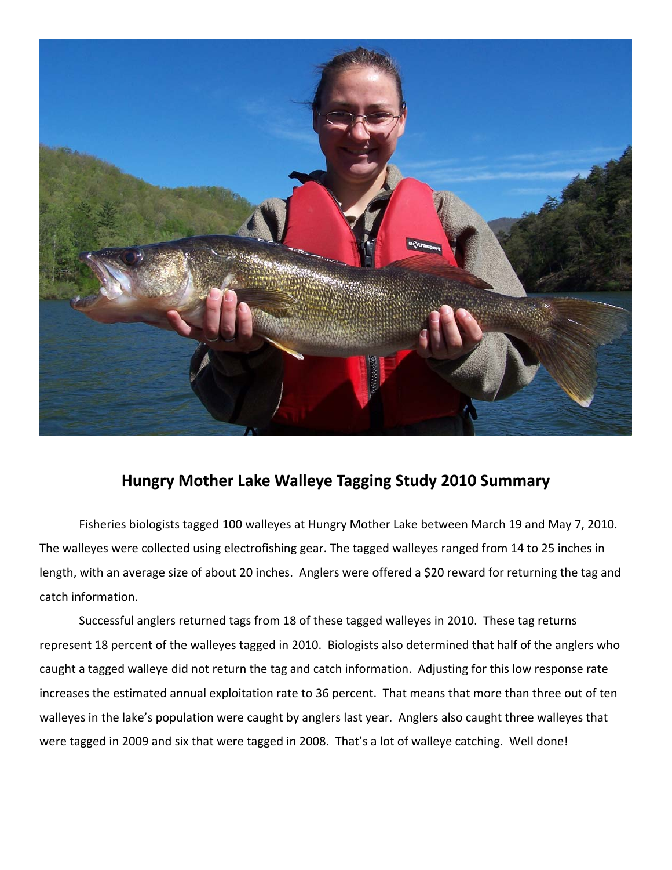

## **Hungry Mother Lake Walleye Tagging Study 2010 Summary**

Fisheries biologists tagged 100 walleyes at Hungry Mother Lake between March 19 and May 7, 2010. The walleyes were collected using electrofishing gear. The tagged walleyes ranged from 14 to 25 inches in length, with an average size of about 20 inches. Anglers were offered a \$20 reward for returning the tag and catch information.

Successful anglers returned tags from 18 of these tagged walleyes in 2010. These tag returns represent 18 percent of the walleyes tagged in 2010. Biologists also determined that half of the anglers who caught a tagged walleye did not return the tag and catch information. Adjusting for this low response rate increases the estimated annual exploitation rate to 36 percent. That means that more than three out of ten walleyes in the lake's population were caught by anglers last year. Anglers also caught three walleyes that were tagged in 2009 and six that were tagged in 2008. That's a lot of walleye catching. Well done!